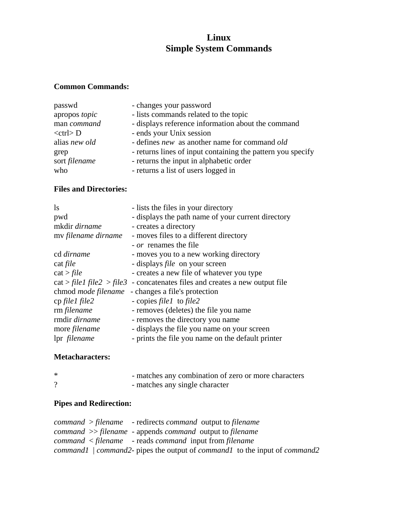# **Linux Simple System Commands**

## **Common Commands:**

| passwd         | - changes your password                                     |
|----------------|-------------------------------------------------------------|
| apropos topic  | - lists commands related to the topic                       |
| man command    | - displays reference information about the command          |
| $<$ ctrl $> D$ | - ends your Unix session                                    |
| alias new old  | - defines <i>new</i> as another name for command <i>old</i> |
| grep           | - returns lines of input containing the pattern you specify |
| sort filename  | - returns the input in alphabetic order                     |
| who            | - returns a list of users logged in                         |
|                |                                                             |

### **Files and Directories:**

| $\log$                     | - lists the files in your directory                |
|----------------------------|----------------------------------------------------|
| pwd                        | - displays the path name of your current directory |
| mkdir dirname              | - creates a directory                              |
| my filename dirname        | - moves files to a different directory             |
|                            | <i>- or</i> renames the file                       |
| cd dirname                 | - moves you to a new working directory             |
| cat <i>file</i>            | - displays <i>file</i> on your screen              |
| cat > file                 | - creates a new file of whatever you type          |
| cat > file1 file2 > file3  | - concatenates files and creates a new output file |
| chmod <i>mode filename</i> | - changes a file's protection                      |
| $cp$ file I file 2         | - copies <i>file1</i> to <i>file2</i>              |
| rm filename                | - removes (deletes) the file you name              |
| rmdir dirname              | - removes the directory you name                   |
| more <i>filename</i>       | - displays the file you name on your screen        |
| lpr filename               | - prints the file you name on the default printer  |

#### **Metacharacters:**

| $\ast$   | - matches any combination of zero or more characters |
|----------|------------------------------------------------------|
| $\Omega$ | - matches any single character                       |

## **Pipes and Redirection:**

|  | $command$ > > filename - redirects command output to filename                            |
|--|------------------------------------------------------------------------------------------|
|  | $command \gg file name - appends \ command$ butput to filename                           |
|  | $command <$ - reads command input from filename                                          |
|  | command1   command2- pipes the output of <i>command1</i> to the input of <i>command2</i> |